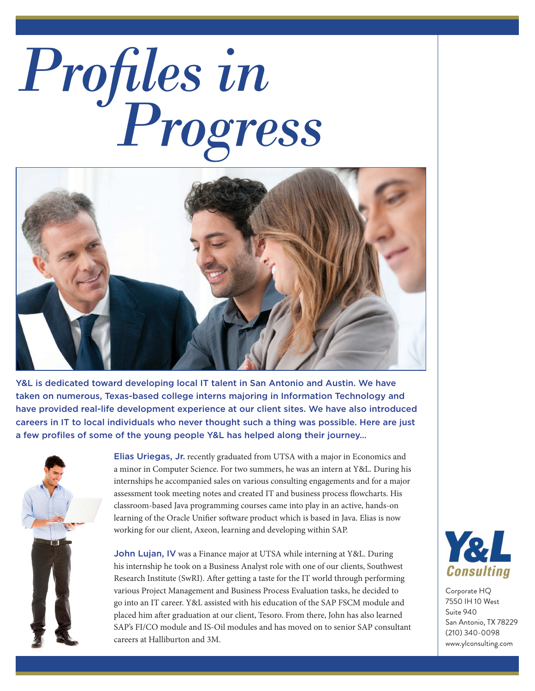## *Profiles in Progress*



Y&L is dedicated toward developing local IT talent in San Antonio and Austin. We have taken on numerous, Texas-based college interns majoring in Information Technology and have provided real-life development experience at our client sites. We have also introduced careers in IT to local individuals who never thought such a thing was possible. Here are just a few profiles of some of the young people Y&L has helped along their journey…



Elias Uriegas, Jr. recently graduated from UTSA with a major in Economics and a minor in Computer Science. For two summers, he was an intern at Y&L. During his internships he accompanied sales on various consulting engagements and for a major assessment took meeting notes and created IT and business process flowcharts. His classroom-based Java programming courses came into play in an active, hands-on learning of the Oracle Unifier software product which is based in Java. Elias is now working for our client, Axeon, learning and developing within SAP.

John Lujan, IV was a Finance major at UTSA while interning at Y&L. During his internship he took on a Business Analyst role with one of our clients, Southwest Research Institute (SwRI). After getting a taste for the IT world through performing various Project Management and Business Process Evaluation tasks, he decided to go into an IT career. Y&L assisted with his education of the SAP FSCM module and placed him after graduation at our client, Tesoro. From there, John has also learned SAP's FI/CO module and IS-Oil modules and has moved on to senior SAP consultant careers at Halliburton and 3M.



Corporate HQ 7550 IH 10 West Suite 940 San Antonio, TX 78229 (210) 340-0098 www.ylconsulting.com